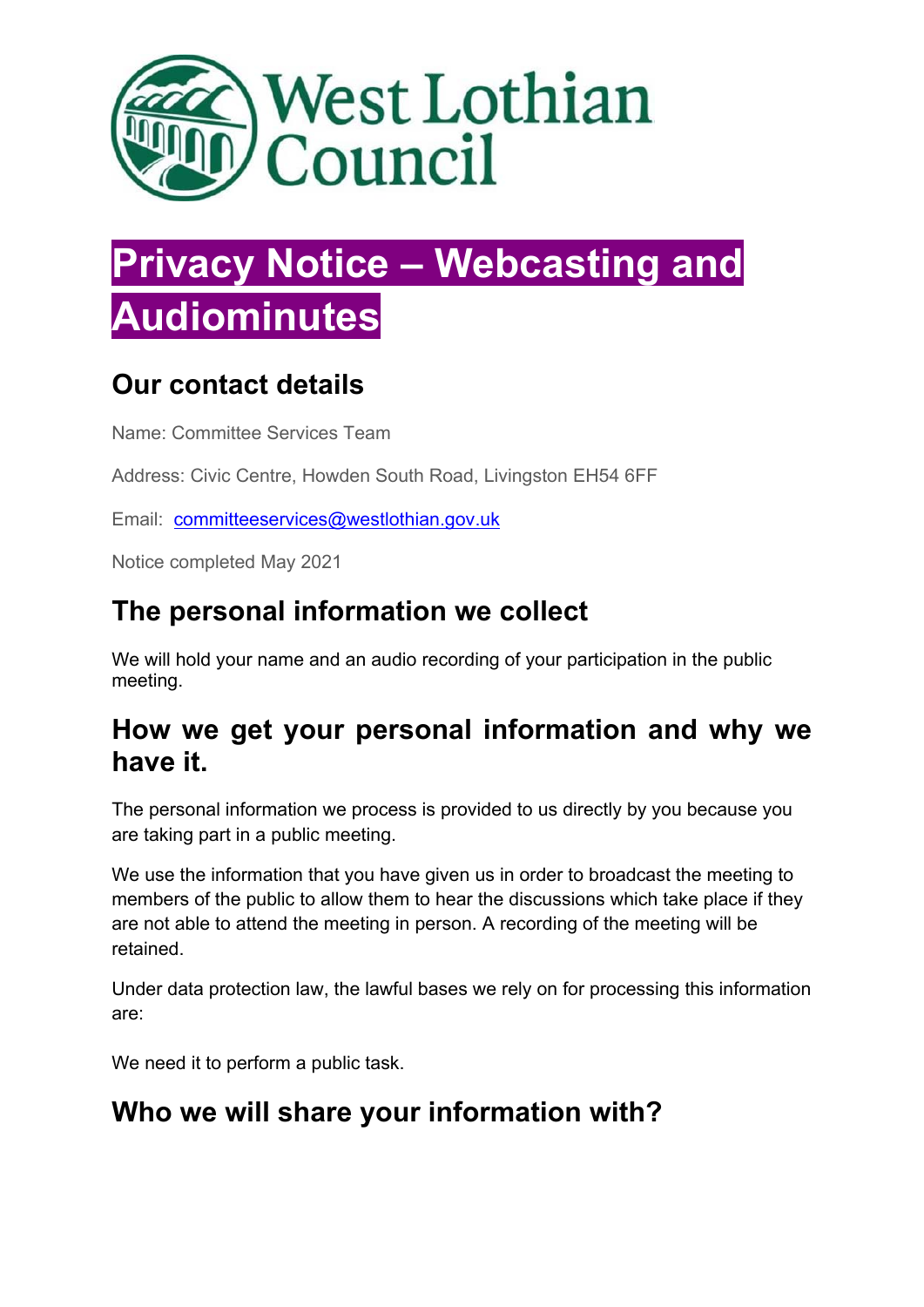

# **Privacy Notice – Webcasting and Audiominutes**

### **Our contact details**

Name: Committee Services Team

Address: Civic Centre, Howden South Road, Livingston EH54 6FF

Email: committeeservices@westlothian.gov.uk

Notice completed May 2021

#### **The personal information we collect**

We will hold your name and an audio recording of your participation in the public meeting.

#### **How we get your personal information and why we have it.**

The personal information we process is provided to us directly by you because you are taking part in a public meeting.

We use the information that you have given us in order to broadcast the meeting to members of the public to allow them to hear the discussions which take place if they are not able to attend the meeting in person. A recording of the meeting will be retained.

Under data protection law, the lawful bases we rely on for processing this information are:

We need it to perform a public task.

#### **Who we will share your information with?**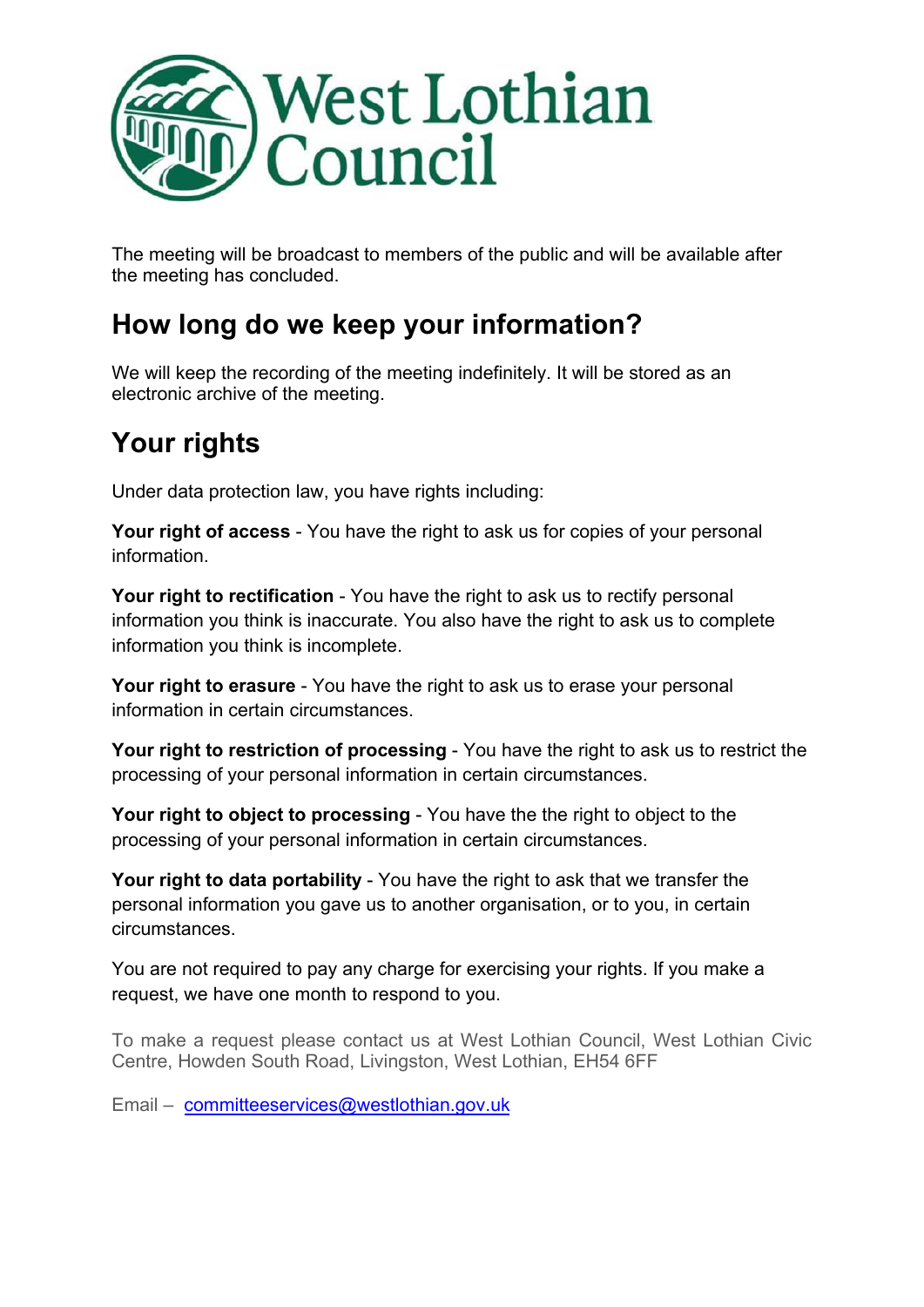

The meeting will be broadcast to members of the public and will be available after the meeting has concluded.

### **How long do we keep your information?**

We will keep the recording of the meeting indefinitely. It will be stored as an electronic archive of the meeting.

## **Your rights**

Under data protection law, you have rights including:

**Your right of access** - You have the right to ask us for copies of your personal information.

**Your right to rectification** - You have the right to ask us to rectify personal information you think is inaccurate. You also have the right to ask us to complete information you think is incomplete.

**Your right to erasure** - You have the right to ask us to erase your personal information in certain circumstances.

**Your right to restriction of processing** - You have the right to ask us to restrict the processing of your personal information in certain circumstances.

**Your right to object to processing** - You have the the right to object to the processing of your personal information in certain circumstances.

**Your right to data portability** - You have the right to ask that we transfer the personal information you gave us to another organisation, or to you, in certain circumstances.

You are not required to pay any charge for exercising your rights. If you make a request, we have one month to respond to you.

To make a request please contact us at West Lothian Council, West Lothian Civic Centre, Howden South Road, Livingston, West Lothian, EH54 6FF

Email – committeeservices@westlothian.gov.uk